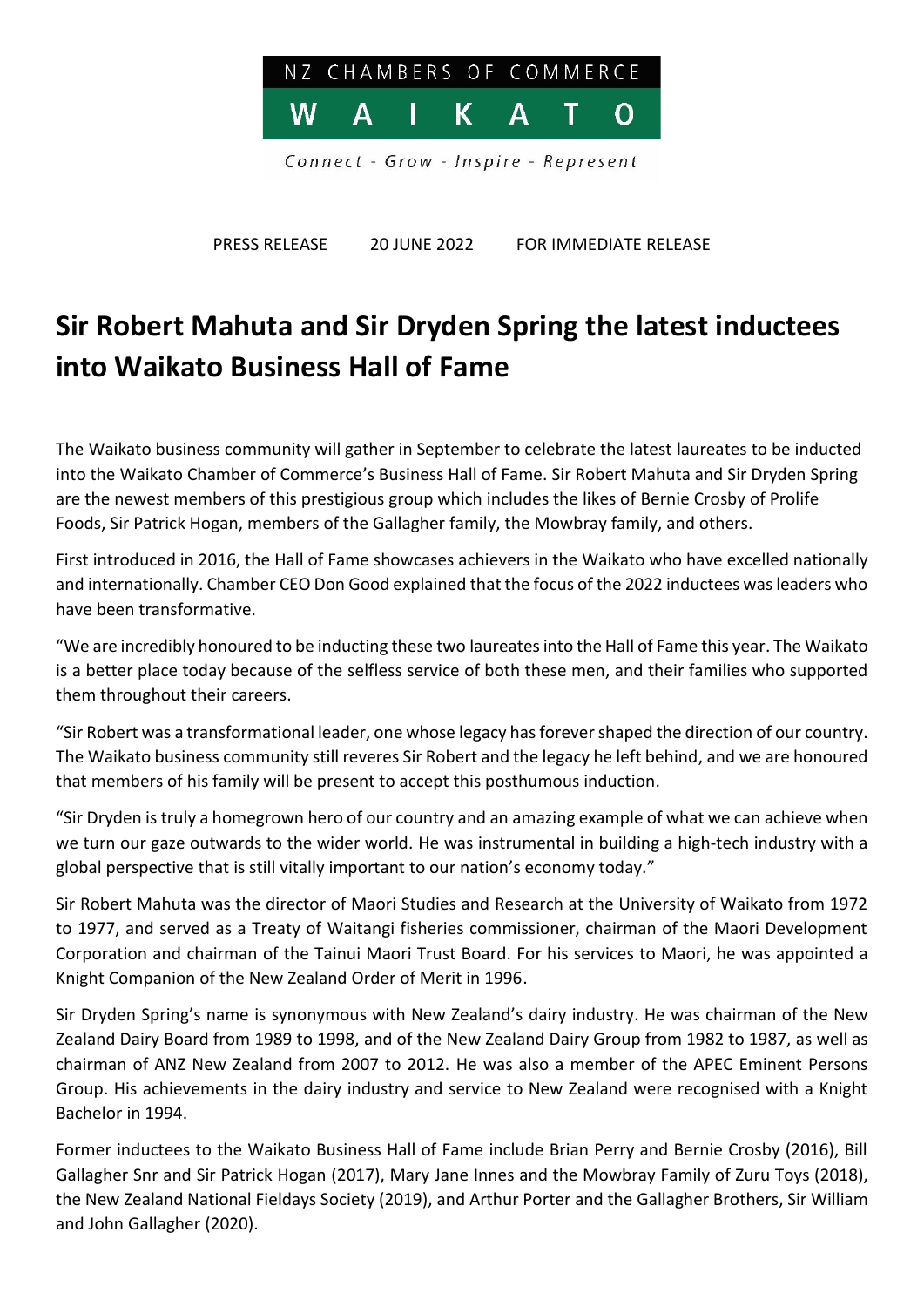

PRESS RELEASE 20 JUNE 2022 FOR IMMEDIATE RELEASE

## **Sir Robert Mahuta and Sir Dryden Spring the latest inductees into Waikato Business Hall of Fame**

The Waikato business community will gather in September to celebrate the latest laureates to be inducted into the Waikato Chamber of Commerce's Business Hall of Fame. Sir Robert Mahuta and Sir Dryden Spring are the newest members of this prestigious group which includes the likes of Bernie Crosby of Prolife Foods, Sir Patrick Hogan, members of the Gallagher family, the Mowbray family, and others.

First introduced in 2016, the Hall of Fame showcases achievers in the Waikato who have excelled nationally and internationally. Chamber CEO Don Good explained that the focus of the 2022 inductees was leaders who have been transformative.

"We are incredibly honoured to be inducting these two laureatesinto the Hall of Fame this year. The Waikato is a better place today because of the selfless service of both these men, and their families who supported them throughout their careers.

"Sir Robert was a transformational leader, one whose legacy has forever shaped the direction of our country. The Waikato business community still reveres Sir Robert and the legacy he left behind, and we are honoured that members of his family will be present to accept this posthumous induction.

"Sir Dryden is truly a homegrown hero of our country and an amazing example of what we can achieve when we turn our gaze outwards to the wider world. He was instrumental in building a high-tech industry with a global perspective that is still vitally important to our nation's economy today."

Sir Robert Mahuta was the director of Maori Studies and Research at the University of Waikato from 1972 to 1977, and served as a Treaty of Waitangi fisheries commissioner, chairman of the Maori Development Corporation and chairman of the Tainui Maori Trust Board. For his services to Maori, he was appointed a Knight Companion of the New Zealand Order of Merit in 1996.

Sir Dryden Spring's name is synonymous with New Zealand's dairy industry. He was chairman of the New Zealand Dairy Board from 1989 to 1998, and of the New Zealand Dairy Group from 1982 to 1987, as well as chairman of ANZ New Zealand from 2007 to 2012. He was also a member of the APEC Eminent Persons Group. His achievements in the dairy industry and service to New Zealand were recognised with a Knight Bachelor in 1994.

Former inductees to the Waikato Business Hall of Fame include Brian Perry and Bernie Crosby (2016), Bill Gallagher Snr and Sir Patrick Hogan (2017), Mary Jane Innes and the Mowbray Family of Zuru Toys (2018), the New Zealand National Fieldays Society (2019), and Arthur Porter and the Gallagher Brothers, Sir William and John Gallagher (2020).